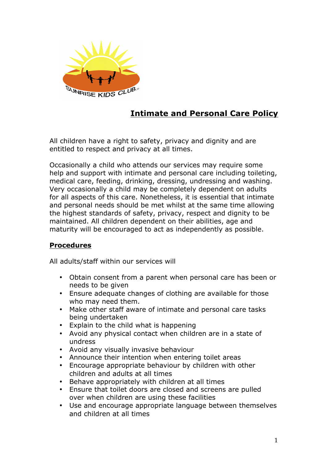

## **Intimate and Personal Care Policy**

All children have a right to safety, privacy and dignity and are entitled to respect and privacy at all times.

Occasionally a child who attends our services may require some help and support with intimate and personal care including toileting, medical care, feeding, drinking, dressing, undressing and washing. Very occasionally a child may be completely dependent on adults for all aspects of this care. Nonetheless, it is essential that intimate and personal needs should be met whilst at the same time allowing the highest standards of safety, privacy, respect and dignity to be maintained. All children dependent on their abilities, age and maturity will be encouraged to act as independently as possible.

## **Procedures**

All adults/staff within our services will

- Obtain consent from a parent when personal care has been or needs to be given
- Ensure adequate changes of clothing are available for those who may need them.
- Make other staff aware of intimate and personal care tasks being undertaken
- Explain to the child what is happening
- Avoid any physical contact when children are in a state of undress
- Avoid any visually invasive behaviour
- Announce their intention when entering toilet areas
- Encourage appropriate behaviour by children with other children and adults at all times
- Behave appropriately with children at all times
- Ensure that toilet doors are closed and screens are pulled over when children are using these facilities
- Use and encourage appropriate language between themselves and children at all times